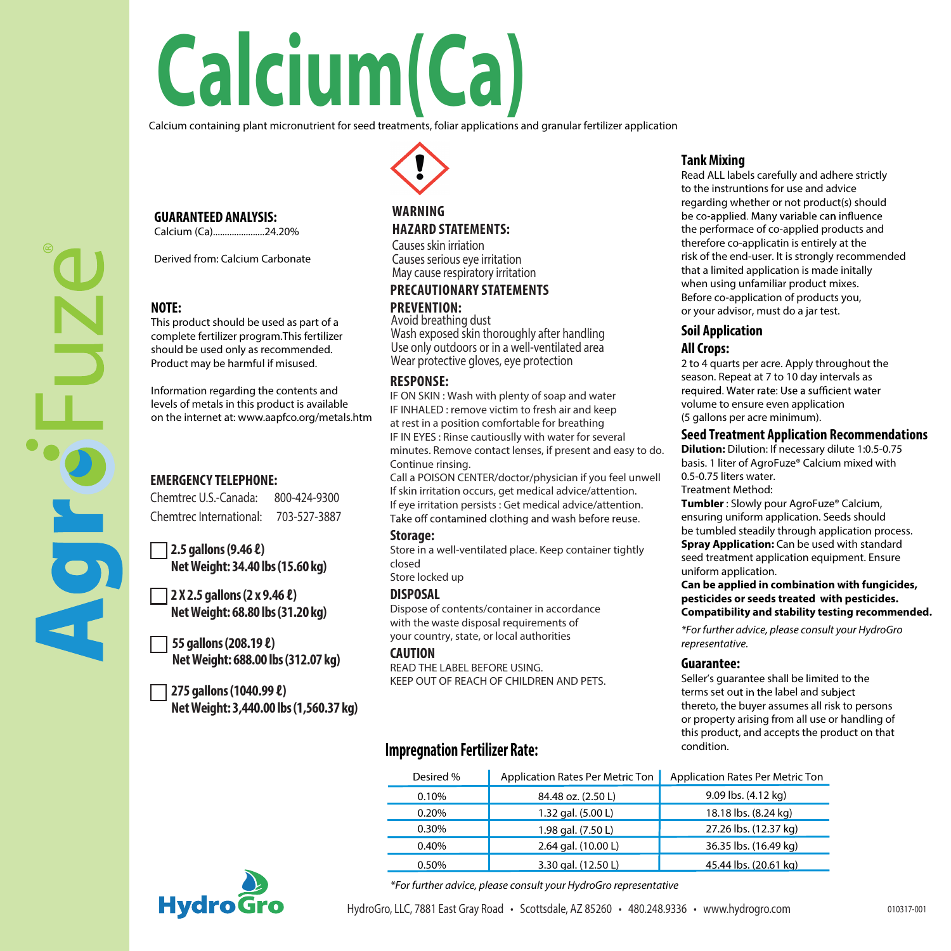# **Calcium(Ca)**

Calcium containing plant micronutrient for seed treatments, foliar applications and granular fertilizer application



Calcium (Ca)......................24.20%

Derived from: Calcium Carbonate

# **NOTE:**

This product should be used as part of a complete fertilizer program.This fertilizer should be used only as recommended. Product may be harmful if misused.

Information regarding the contents and levels of metals in this product is available on the internet at: www.aapfco.org/metals.htm

# **EMERGENCY TELEPHONE:**

Chemtrec U.S.-Canada: 800-424-9300 Chemtrec International: 703-527-3887

**2.5 gallons(9.46 ℓ) Net Weight: 34.40 lbs (15.60 kg)**

**2 X 2.5 gallons(2 x 9.46 ℓ) Net Weight: 68.80 lbs (31.20 kg)**

**55 gallons(208.19 ℓ) Net Weight: 688.00 lbs (312.07 kg)**

**275 gallons(1040.99 ℓ) Net Weight: 3,440.00 lbs (1,560.37 kg)**

# **WARNING HAZARD STATEMENTS:**

Causes skin irriation Causes serious eye irritation May cause respiratory irritation

# **PRECAUTIONARY STATEMENTS PREVENTION:** Avoid breathing dust

Wash exposed skin thoroughly after handling Use only outdoors or in a well-ventilated area Wear protective gloves, eye protection

# **RESPONSE:**

IF ON SKIN : Wash with plenty of soap and water IF INHALED : remove victim to fresh air and keep at rest in a position comfortable for breathing IF IN EYES : Rinse cautiouslly with water for several minutes. Remove contact lenses, if present and easy to do. Continue rinsing.

Call a POISON CENTER/doctor/physician if you feel unwell If skin irritation occurs, get medical advice/attention. If eye irritation persists : Get medical advice/attention.<br>Take off contamined clothing and wash before reuse.

## **Storage:**

Store in a well-ventilated place. Keep container tightly closed

Store locked up

### **DISPOSAL**

Dispose of contents/container in accordance with the waste disposal requirements of your country, state, or local authorities

**CAUTION**

READ THE LABEL BEFORE USING. KEEP OUT OF REACH OF CHILDREN AND PETS.

# **Impregnation Fertilizer Rate:**

# **Tank Mixing**

Read ALL labels carefully and adhere strictly to the instruntions for use and advice regarding whether or not product(s) should<br>be co-applied. Many variable can influence the performace of co-applied products and therefore co-applicatin is entirely at the risk of the end-user. It is strongly recommended that a limited application is made initally when using unfamiliar product mixes. Before co-application of products you, or your advisor, must do a jar test.

# **Soil Application All Crops:**

2 to 4 quarts per acre. Apply throughout the season. Repeat at 7 to 10 day intervals as required. Water rate: Use a sufficient water volume to ensure even application (5 gallons per acre minimum).

## **Seed Treatment Application Recommendations**

**Dilution:** Dilution: If necessary dilute 1:0.5-0.75 basis. 1 liter of AgroFuze® Calcium mixed with 0.5-0.75 liters water. Treatment Method:

**Tumb er** : Slowly pour AgroFuze® Calcium, ensuring uniform application. Seeds should be tumbled steadily through application process. **Spray Application:** Can be used with standard seed treatment application equipment. Ensure uniform application.

### **Can be applied in combination with fungicides, pesticides or seeds treated with pesticides. Compatibility and stability testing recommended.**

*\*For further advice, please consult your HydroGro representative.*

# **Guarantee:**

Seller's quarantee shall be limited to the terms set out in the label and subject thereto, the buyer assumes all risk to persons or property arising from all use or handling of this product, and accepts the product on that condition.

| Desired % | Application Rates Per Metric Ton | Application Rates Per Metric Ton |
|-----------|----------------------------------|----------------------------------|
| 0.10%     | 84.48 oz. (2.50 L)               | 9.09 lbs. (4.12 kg)              |
| 0.20%     | 1.32 gal. (5.00 L)               | 18.18 lbs. (8.24 kg)             |
| 0.30%     | 1.98 gal. (7.50 L)               | 27.26 lbs. (12.37 kg)            |
| 0.40%     | 2.64 gal. (10.00 L)              | 36.35 lbs. (16.49 kg)            |
| 0.50%     | 3.30 gal. (12.50 L)              | 45.44 lbs. (20.61 kg)            |



*\*For further advice, please consult your HydroGro representative*